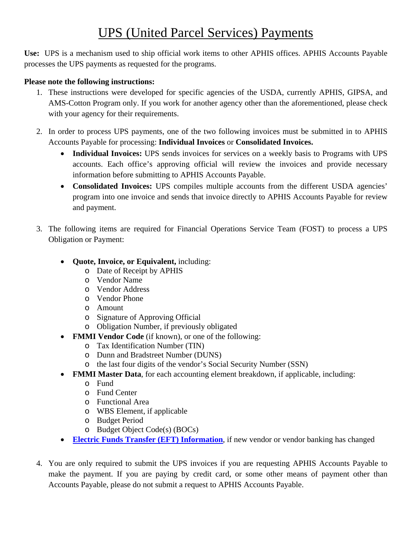## UPS (United Parcel Services) Payments

**Use:** UPS is a mechanism used to ship official work items to other APHIS offices. APHIS Accounts Payable processes the UPS payments as requested for the programs.

## **Please note the following instructions:**

- 1. These instructions were developed for specific agencies of the USDA, currently APHIS, GIPSA, and AMS-Cotton Program only. If you work for another agency other than the aforementioned, please check with your agency for their requirements.
- 2. In order to process UPS payments, one of the two following invoices must be submitted in to APHIS Accounts Payable for processing: **Individual Invoices** or **Consolidated Invoices.**
	- **Individual Invoices:** UPS sends invoices for services on a weekly basis to Programs with UPS accounts. Each office's approving official will review the invoices and provide necessary information before submitting to APHIS Accounts Payable.
	- **Consolidated Invoices:** UPS compiles multiple accounts from the different USDA agencies' program into one invoice and sends that invoice directly to APHIS Accounts Payable for review and payment.
- 3. The following items are required for Financial Operations Service Team (FOST) to process a UPS Obligation or Payment:
	- **Quote, Invoice, or Equivalent,** including:
		- o Date of Receipt by APHIS
		- o Vendor Name
		- o Vendor Address
		- o Vendor Phone
		- o Amount
		- o Signature of Approving Official
		- o Obligation Number, if previously obligated
	- **FMMI Vendor Code** (if known), or one of the following:
		- o Tax Identification Number (TIN)
		- o Dunn and Bradstreet Number (DUNS)
		- o the last four digits of the vendor's Social Security Number (SSN)
	- **FMMI Master Data**, for each accounting element breakdown, if applicable, including:
		- o Fund
		- o Fund Center
		- o Functional Area
		- o WBS Element, if applicable
		- o Budget Period
		- o Budget Object Code(s) (BOCs)
	- **[Electric Funds Transfer \(EFT\) Information](https://www.aphis.usda.gov/aphis/ourfocus/business-services/financial-management-division/financial-operations-branch/fost/etf)**, if new vendor or vendor banking has changed
- 4. You are only required to submit the UPS invoices if you are requesting APHIS Accounts Payable to make the payment. If you are paying by credit card, or some other means of payment other than Accounts Payable, please do not submit a request to APHIS Accounts Payable.